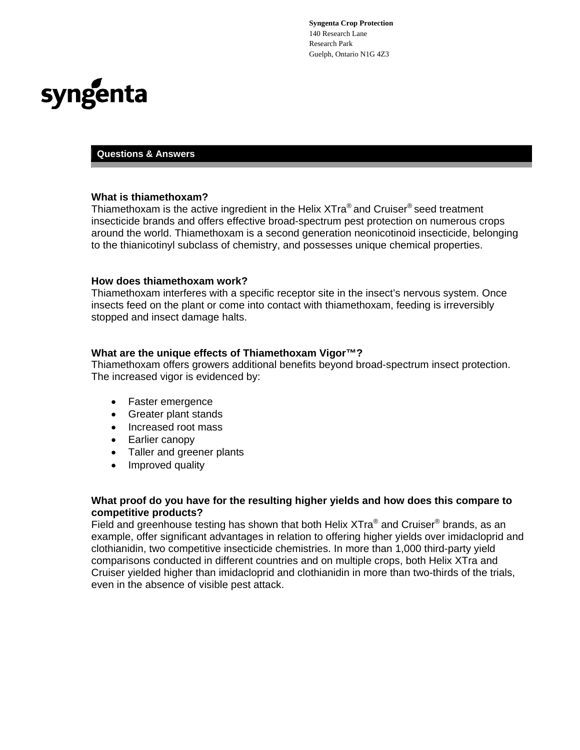**Syngenta Crop Protection**  140 Research Lane Research Park Guelph, Ontario N1G 4Z3



# **Questions & Answers**

#### **What is thiamethoxam?**

Thiamethoxam is the active ingredient in the Helix XTra® and Cruiser<sup>®</sup> seed treatment insecticide brands and offers effective broad-spectrum pest protection on numerous crops around the world. Thiamethoxam is a second generation neonicotinoid insecticide, belonging to the thianicotinyl subclass of chemistry, and possesses unique chemical properties.

#### **How does thiamethoxam work?**

Thiamethoxam interferes with a specific receptor site in the insect's nervous system. Once insects feed on the plant or come into contact with thiamethoxam, feeding is irreversibly stopped and insect damage halts.

#### **What are the unique effects of Thiamethoxam Vigor™?**

Thiamethoxam offers growers additional benefits beyond broad-spectrum insect protection. The increased vigor is evidenced by:

- Faster emergence
- Greater plant stands
- Increased root mass
- Earlier canopy
- Taller and greener plants
- Improved quality

# **What proof do you have for the resulting higher yields and how does this compare to competitive products?**

Field and greenhouse testing has shown that both Helix XTra® and Cruiser® brands, as an example, offer significant advantages in relation to offering higher yields over imidacloprid and clothianidin, two competitive insecticide chemistries. In more than 1,000 third-party yield comparisons conducted in different countries and on multiple crops, both Helix XTra and Cruiser yielded higher than imidacloprid and clothianidin in more than two-thirds of the trials, even in the absence of visible pest attack.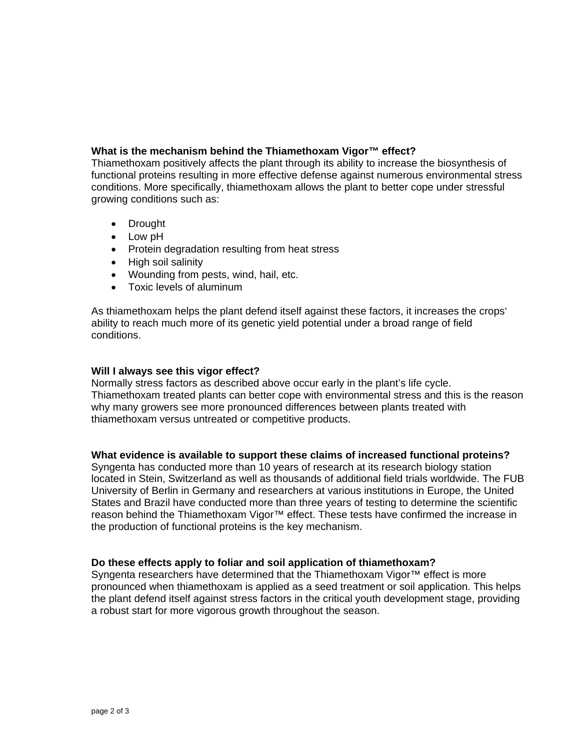# **What is the mechanism behind the Thiamethoxam Vigor™ effect?**

Thiamethoxam positively affects the plant through its ability to increase the biosynthesis of functional proteins resulting in more effective defense against numerous environmental stress conditions. More specifically, thiamethoxam allows the plant to better cope under stressful growing conditions such as:

- Drought
- Low pH
- Protein degradation resulting from heat stress
- High soil salinity
- Wounding from pests, wind, hail, etc.
- Toxic levels of aluminum

As thiamethoxam helps the plant defend itself against these factors, it increases the crops' ability to reach much more of its genetic yield potential under a broad range of field conditions.

## **Will I always see this vigor effect?**

Normally stress factors as described above occur early in the plant's life cycle. Thiamethoxam treated plants can better cope with environmental stress and this is the reason why many growers see more pronounced differences between plants treated with thiamethoxam versus untreated or competitive products.

## **What evidence is available to support these claims of increased functional proteins?**

Syngenta has conducted more than 10 years of research at its research biology station located in Stein, Switzerland as well as thousands of additional field trials worldwide. The FUB University of Berlin in Germany and researchers at various institutions in Europe, the United States and Brazil have conducted more than three years of testing to determine the scientific reason behind the Thiamethoxam Vigor™ effect. These tests have confirmed the increase in the production of functional proteins is the key mechanism.

## **Do these effects apply to foliar and soil application of thiamethoxam?**

Syngenta researchers have determined that the Thiamethoxam Vigor™ effect is more pronounced when thiamethoxam is applied as a seed treatment or soil application. This helps the plant defend itself against stress factors in the critical youth development stage, providing a robust start for more vigorous growth throughout the season.